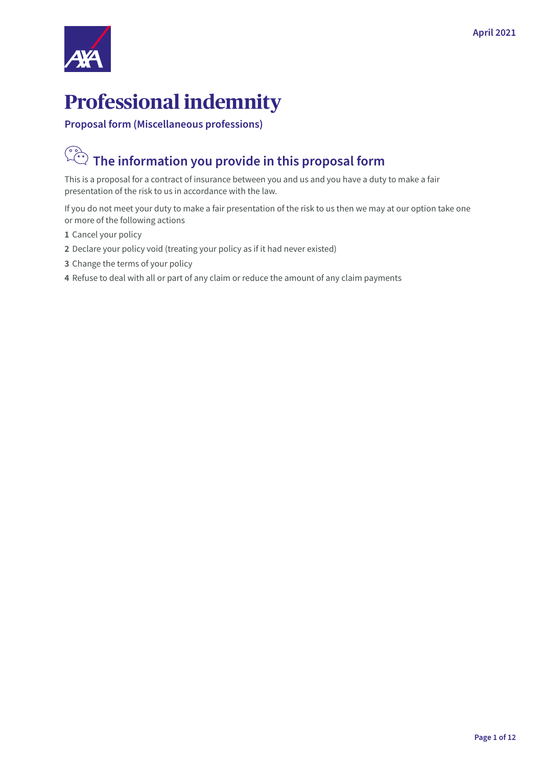

## **Professional indemnity**

**Proposal form (Miscellaneous professions)**

# **The information you provide in this proposal form**

This is a proposal for a contract of insurance between you and us and you have a duty to make a fair presentation of the risk to us in accordance with the law.

If you do not meet your duty to make a fair presentation of the risk to us then we may at our option take one or more of the following actions

- **1** Cancel your policy
- **2** Declare your policy void (treating your policy as if it had never existed)
- **3** Change the terms of your policy
- **4** Refuse to deal with all or part of any claim or reduce the amount of any claim payments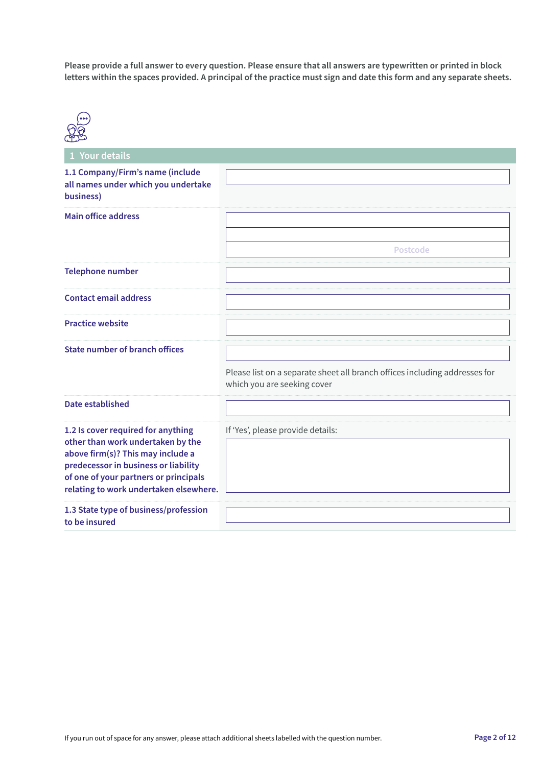**Please provide a full answer to every question. Please ensure that all answers are typewritten or printed in block letters within the spaces provided. A principal of the practice must sign and date this form and any separate sheets.**



| 1 Your details                                                                                                                                                                                                                          |                                                                                                           |
|-----------------------------------------------------------------------------------------------------------------------------------------------------------------------------------------------------------------------------------------|-----------------------------------------------------------------------------------------------------------|
| 1.1 Company/Firm's name (include<br>all names under which you undertake<br>business)                                                                                                                                                    |                                                                                                           |
| <b>Main office address</b>                                                                                                                                                                                                              | Postcode                                                                                                  |
| <b>Telephone number</b>                                                                                                                                                                                                                 |                                                                                                           |
| <b>Contact email address</b>                                                                                                                                                                                                            |                                                                                                           |
| <b>Practice website</b>                                                                                                                                                                                                                 |                                                                                                           |
| <b>State number of branch offices</b>                                                                                                                                                                                                   | Please list on a separate sheet all branch offices including addresses for<br>which you are seeking cover |
| Date established                                                                                                                                                                                                                        |                                                                                                           |
| 1.2 Is cover required for anything<br>other than work undertaken by the<br>above firm(s)? This may include a<br>predecessor in business or liability<br>of one of your partners or principals<br>relating to work undertaken elsewhere. | If 'Yes', please provide details:                                                                         |
| 1.3 State type of business/profession<br>to be insured                                                                                                                                                                                  |                                                                                                           |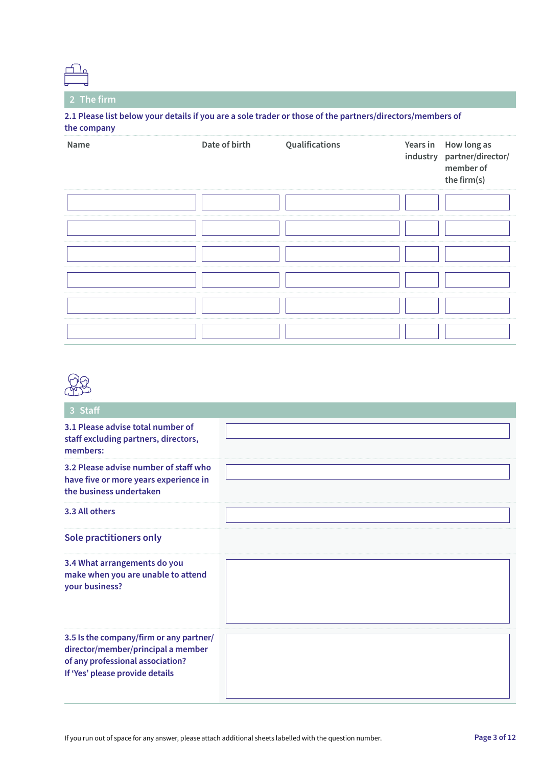## **2 The firm**

**2.1 Please list below your details if you are a sole trader or those of the partners/directors/members of the company**

| Name | Date of birth | Qualifications | Years in How long as<br>industry partner/director/<br>member of<br>the firm(s) |
|------|---------------|----------------|--------------------------------------------------------------------------------|
|      |               |                |                                                                                |
|      |               |                |                                                                                |
|      |               |                |                                                                                |
|      |               |                |                                                                                |
|      |               |                |                                                                                |
|      |               |                |                                                                                |



| 3 Staff                                                                                                                                              |  |
|------------------------------------------------------------------------------------------------------------------------------------------------------|--|
| 3.1 Please advise total number of<br>staff excluding partners, directors,<br>members:                                                                |  |
| 3.2 Please advise number of staff who<br>have five or more years experience in<br>the business undertaken                                            |  |
| 3.3 All others                                                                                                                                       |  |
| <b>Sole practitioners only</b>                                                                                                                       |  |
| 3.4 What arrangements do you<br>make when you are unable to attend<br>your business?                                                                 |  |
| 3.5 Is the company/firm or any partner/<br>director/member/principal a member<br>of any professional association?<br>If 'Yes' please provide details |  |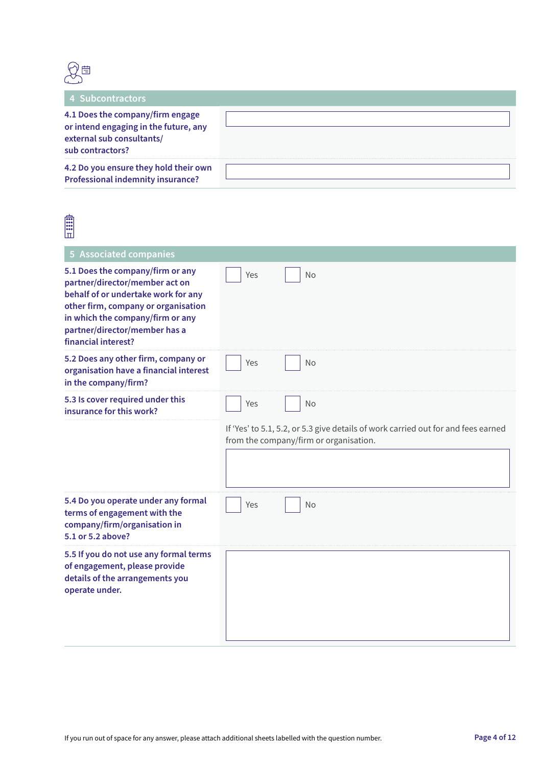

| 4 Subcontractors                                                                                                           |  |
|----------------------------------------------------------------------------------------------------------------------------|--|
| 4.1 Does the company/firm engage<br>or intend engaging in the future, any<br>external sub consultants/<br>sub contractors? |  |
| 4.2 Do you ensure they hold their own<br><b>Professional indemnity insurance?</b>                                          |  |

| <b>E</b><br>لسا                                                                                                                                                                                                                              |                                                                                                                             |
|----------------------------------------------------------------------------------------------------------------------------------------------------------------------------------------------------------------------------------------------|-----------------------------------------------------------------------------------------------------------------------------|
| <b>5 Associated companies</b>                                                                                                                                                                                                                |                                                                                                                             |
| 5.1 Does the company/firm or any<br>partner/director/member act on<br>behalf of or undertake work for any<br>other firm, company or organisation<br>in which the company/firm or any<br>partner/director/member has a<br>financial interest? | Yes<br><b>No</b>                                                                                                            |
| 5.2 Does any other firm, company or<br>organisation have a financial interest<br>in the company/firm?                                                                                                                                        | Yes<br><b>No</b>                                                                                                            |
| 5.3 Is cover required under this<br>insurance for this work?                                                                                                                                                                                 | Yes<br>No                                                                                                                   |
|                                                                                                                                                                                                                                              | If 'Yes' to 5.1, 5.2, or 5.3 give details of work carried out for and fees earned<br>from the company/firm or organisation. |
| 5.4 Do you operate under any formal<br>terms of engagement with the<br>company/firm/organisation in<br>5.1 or 5.2 above?                                                                                                                     | Yes<br>No                                                                                                                   |
| 5.5 If you do not use any formal terms<br>of engagement, please provide<br>details of the arrangements you<br>operate under.                                                                                                                 |                                                                                                                             |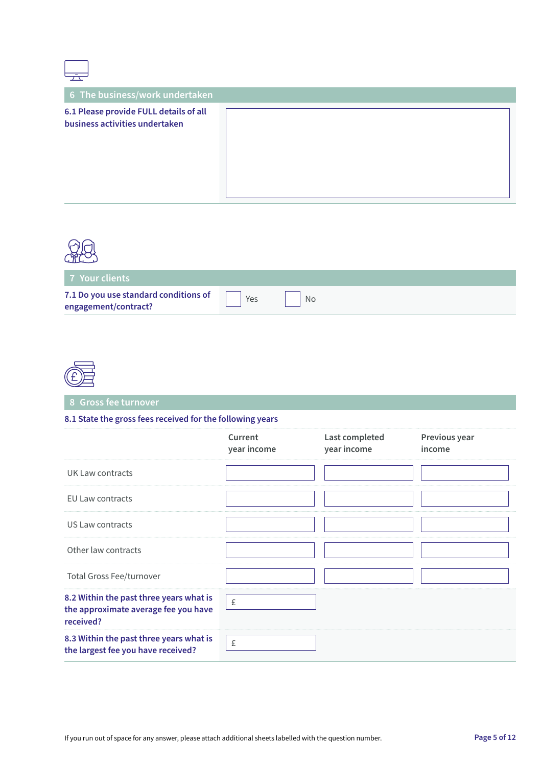| 六                                                                        |  |
|--------------------------------------------------------------------------|--|
| 6 The business/work undertaken                                           |  |
| 6.1 Please provide FULL details of all<br>business activities undertaken |  |



 $\sqrt{ }$ 

٦

| <b>7 Your clients</b>                                         |     |    |  |  |
|---------------------------------------------------------------|-----|----|--|--|
| 7.1 Do you use standard conditions of<br>engagement/contract? | Yes | No |  |  |



**8 Gross fee turnover**

#### **8.1 State the gross fees received for the following years**

|                                                                                              | Current<br>year income | Last completed<br>year income | Previous year<br>income |
|----------------------------------------------------------------------------------------------|------------------------|-------------------------------|-------------------------|
| UK Law contracts                                                                             |                        |                               |                         |
| <b>EU Law contracts</b>                                                                      |                        |                               |                         |
| US Law contracts                                                                             |                        |                               |                         |
| Other law contracts                                                                          |                        |                               |                         |
| <b>Total Gross Fee/turnover</b>                                                              |                        |                               |                         |
| 8.2 Within the past three years what is<br>the approximate average fee you have<br>received? | £                      |                               |                         |
| 8.3 Within the past three years what is<br>the largest fee you have received?                | £                      |                               |                         |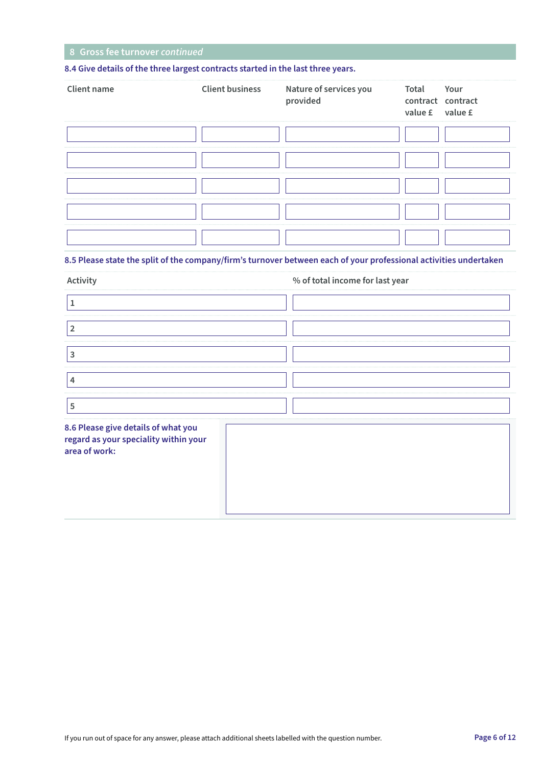#### **8 Gross fee turnover** *continued*

#### **8.4 Give details of the three largest contracts started in the last three years.**

| <b>Client name</b> | Client business Nature of services you<br>provided | Total<br>contract contract<br>value £ value £ | Your |
|--------------------|----------------------------------------------------|-----------------------------------------------|------|
|                    |                                                    |                                               |      |
|                    |                                                    |                                               |      |
|                    |                                                    |                                               |      |
|                    |                                                    |                                               |      |
|                    |                                                    |                                               |      |

#### **8.5 Please state the split of the company/firm's turnover between each of your professional activities undertaken**

| Activity                                                                                      | % of total income for last year |
|-----------------------------------------------------------------------------------------------|---------------------------------|
| 1                                                                                             |                                 |
| $\overline{2}$                                                                                |                                 |
| 3                                                                                             |                                 |
| $\overline{4}$                                                                                |                                 |
| 5                                                                                             |                                 |
| 8.6 Please give details of what you<br>regard as your speciality within your<br>area of work: |                                 |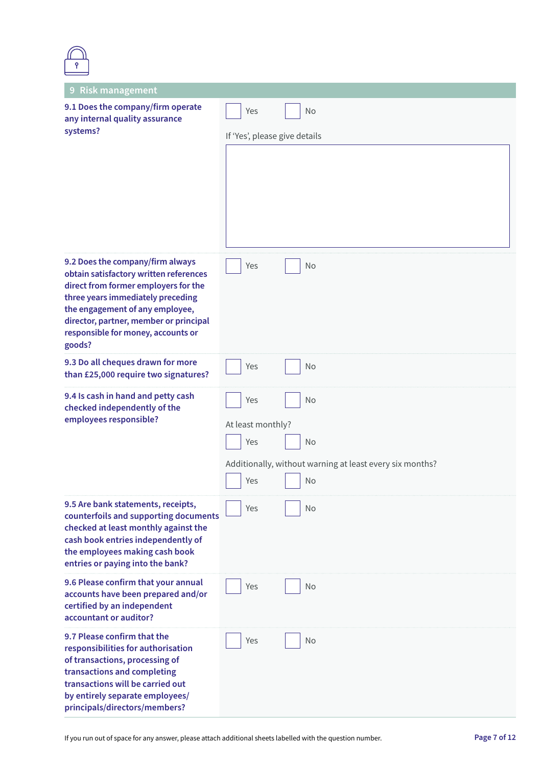| 9 Risk management                                                                                                                                                                                                                                                                    |                                                          |  |  |
|--------------------------------------------------------------------------------------------------------------------------------------------------------------------------------------------------------------------------------------------------------------------------------------|----------------------------------------------------------|--|--|
| 9.1 Does the company/firm operate<br>any internal quality assurance<br>systems?                                                                                                                                                                                                      | Yes<br>No                                                |  |  |
|                                                                                                                                                                                                                                                                                      | If 'Yes', please give details                            |  |  |
|                                                                                                                                                                                                                                                                                      |                                                          |  |  |
| 9.2 Does the company/firm always<br>obtain satisfactory written references<br>direct from former employers for the<br>three years immediately preceding<br>the engagement of any employee,<br>director, partner, member or principal<br>responsible for money, accounts or<br>goods? | No<br>Yes                                                |  |  |
| 9.3 Do all cheques drawn for more<br>than £25,000 require two signatures?                                                                                                                                                                                                            | Yes<br>No                                                |  |  |
| 9.4 Is cash in hand and petty cash<br>checked independently of the                                                                                                                                                                                                                   | No<br>Yes                                                |  |  |
| employees responsible?                                                                                                                                                                                                                                                               | At least monthly?                                        |  |  |
|                                                                                                                                                                                                                                                                                      | Yes<br>No                                                |  |  |
|                                                                                                                                                                                                                                                                                      | Additionally, without warning at least every six months? |  |  |
|                                                                                                                                                                                                                                                                                      | Yes<br><b>No</b>                                         |  |  |
| 9.5 Are bank statements, receipts,<br>counterfoils and supporting documents<br>checked at least monthly against the<br>cash book entries independently of<br>the employees making cash book<br>entries or paying into the bank?                                                      | Yes<br>No                                                |  |  |
| 9.6 Please confirm that your annual<br>accounts have been prepared and/or<br>certified by an independent<br>accountant or auditor?                                                                                                                                                   | Yes<br>No                                                |  |  |
| 9.7 Please confirm that the<br>responsibilities for authorisation<br>of transactions, processing of<br>transactions and completing<br>transactions will be carried out<br>by entirely separate employees/<br>principals/directors/members?                                           | No<br>Yes                                                |  |  |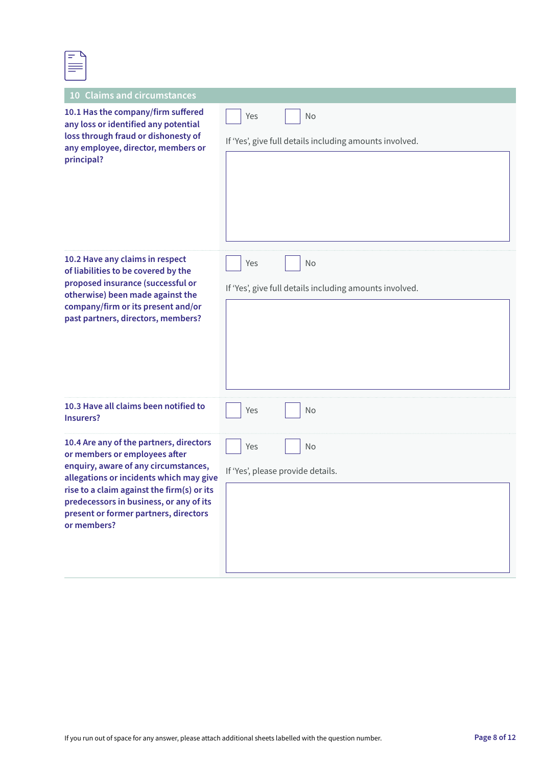| _            |  |
|--------------|--|
|              |  |
|              |  |
| --<br>______ |  |
|              |  |

| <b>Claims and circumstances</b><br><b>10</b>                                                                                                                                                                                                                                                                 |                                                                      |
|--------------------------------------------------------------------------------------------------------------------------------------------------------------------------------------------------------------------------------------------------------------------------------------------------------------|----------------------------------------------------------------------|
| 10.1 Has the company/firm suffered<br>any loss or identified any potential<br>loss through fraud or dishonesty of<br>any employee, director, members or<br>principal?                                                                                                                                        | No<br>Yes<br>If 'Yes', give full details including amounts involved. |
| 10.2 Have any claims in respect<br>of liabilities to be covered by the<br>proposed insurance (successful or<br>otherwise) been made against the<br>company/firm or its present and/or<br>past partners, directors, members?                                                                                  | Yes<br>No<br>If 'Yes', give full details including amounts involved. |
| 10.3 Have all claims been notified to<br>Insurers?                                                                                                                                                                                                                                                           | Yes<br>No                                                            |
| 10.4 Are any of the partners, directors<br>or members or employees after<br>enquiry, aware of any circumstances,<br>allegations or incidents which may give<br>rise to a claim against the firm(s) or its<br>predecessors in business, or any of its<br>present or former partners, directors<br>or members? | No<br>Yes<br>If 'Yes', please provide details.                       |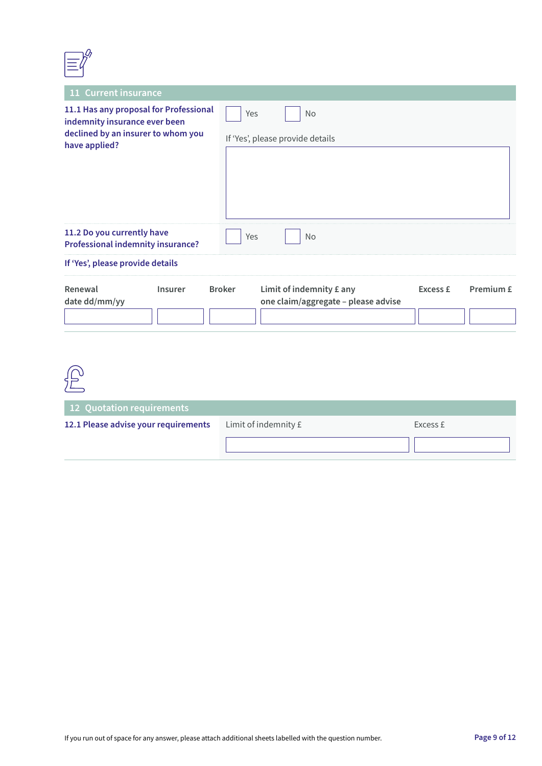| 11 Current insurance                                                                                                           |                |               |                                                                 |                 |           |
|--------------------------------------------------------------------------------------------------------------------------------|----------------|---------------|-----------------------------------------------------------------|-----------------|-----------|
| 11.1 Has any proposal for Professional<br>indemnity insurance ever been<br>declined by an insurer to whom you<br>have applied? |                | Yes           | <b>No</b><br>If 'Yes', please provide details                   |                 |           |
| 11.2 Do you currently have<br><b>Professional indemnity insurance?</b>                                                         |                | Yes           | <b>No</b>                                                       |                 |           |
| If 'Yes', please provide details                                                                                               |                |               |                                                                 |                 |           |
| Renewal<br>date dd/mm/yy                                                                                                       | <b>Insurer</b> | <b>Broker</b> | Limit of indemnity £ any<br>one claim/aggregate - please advise | <b>Excess £</b> | Premium £ |

| 12 Quotation requirements            |                      |          |
|--------------------------------------|----------------------|----------|
| 12.1 Please advise your requirements | Limit of indemnity £ | Excess £ |
|                                      |                      |          |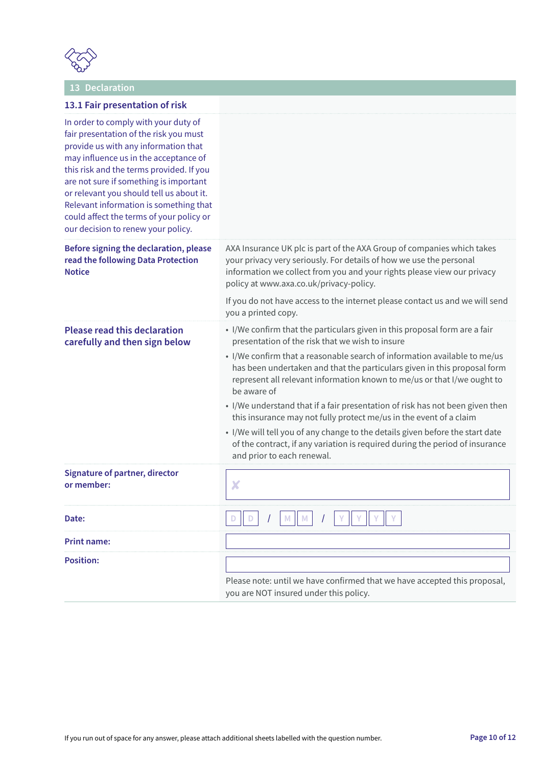

### **13 Declaration**

| 13.1 Fair presentation of risk                                                                                                                                                                                                                                                                                                                                                                                                |                                                                                                                                                                                                                                                                                                                                                                                                                                                                                                                                                                                                                                                                                                                                        |
|-------------------------------------------------------------------------------------------------------------------------------------------------------------------------------------------------------------------------------------------------------------------------------------------------------------------------------------------------------------------------------------------------------------------------------|----------------------------------------------------------------------------------------------------------------------------------------------------------------------------------------------------------------------------------------------------------------------------------------------------------------------------------------------------------------------------------------------------------------------------------------------------------------------------------------------------------------------------------------------------------------------------------------------------------------------------------------------------------------------------------------------------------------------------------------|
| In order to comply with your duty of<br>fair presentation of the risk you must<br>provide us with any information that<br>may influence us in the acceptance of<br>this risk and the terms provided. If you<br>are not sure if something is important<br>or relevant you should tell us about it.<br>Relevant information is something that<br>could affect the terms of your policy or<br>our decision to renew your policy. |                                                                                                                                                                                                                                                                                                                                                                                                                                                                                                                                                                                                                                                                                                                                        |
| Before signing the declaration, please<br>read the following Data Protection<br><b>Notice</b>                                                                                                                                                                                                                                                                                                                                 | AXA Insurance UK plc is part of the AXA Group of companies which takes<br>your privacy very seriously. For details of how we use the personal<br>information we collect from you and your rights please view our privacy<br>policy at www.axa.co.uk/privacy-policy.                                                                                                                                                                                                                                                                                                                                                                                                                                                                    |
|                                                                                                                                                                                                                                                                                                                                                                                                                               | If you do not have access to the internet please contact us and we will send<br>you a printed copy.                                                                                                                                                                                                                                                                                                                                                                                                                                                                                                                                                                                                                                    |
| <b>Please read this declaration</b><br>carefully and then sign below                                                                                                                                                                                                                                                                                                                                                          | • I/We confirm that the particulars given in this proposal form are a fair<br>presentation of the risk that we wish to insure<br>• I/We confirm that a reasonable search of information available to me/us<br>has been undertaken and that the particulars given in this proposal form<br>represent all relevant information known to me/us or that I/we ought to<br>be aware of<br>• I/We understand that if a fair presentation of risk has not been given then<br>this insurance may not fully protect me/us in the event of a claim<br>• I/We will tell you of any change to the details given before the start date<br>of the contract, if any variation is required during the period of insurance<br>and prior to each renewal. |
| <b>Signature of partner, director</b><br>or member:                                                                                                                                                                                                                                                                                                                                                                           | X                                                                                                                                                                                                                                                                                                                                                                                                                                                                                                                                                                                                                                                                                                                                      |
| Date:                                                                                                                                                                                                                                                                                                                                                                                                                         |                                                                                                                                                                                                                                                                                                                                                                                                                                                                                                                                                                                                                                                                                                                                        |
| <b>Print name:</b>                                                                                                                                                                                                                                                                                                                                                                                                            |                                                                                                                                                                                                                                                                                                                                                                                                                                                                                                                                                                                                                                                                                                                                        |
| <b>Position:</b>                                                                                                                                                                                                                                                                                                                                                                                                              | Please note: until we have confirmed that we have accepted this proposal,<br>you are NOT insured under this policy.                                                                                                                                                                                                                                                                                                                                                                                                                                                                                                                                                                                                                    |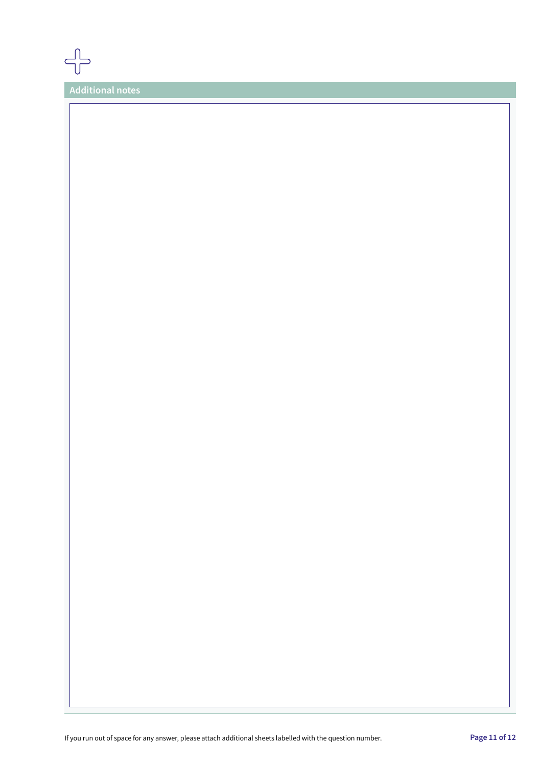

**Additional notes**